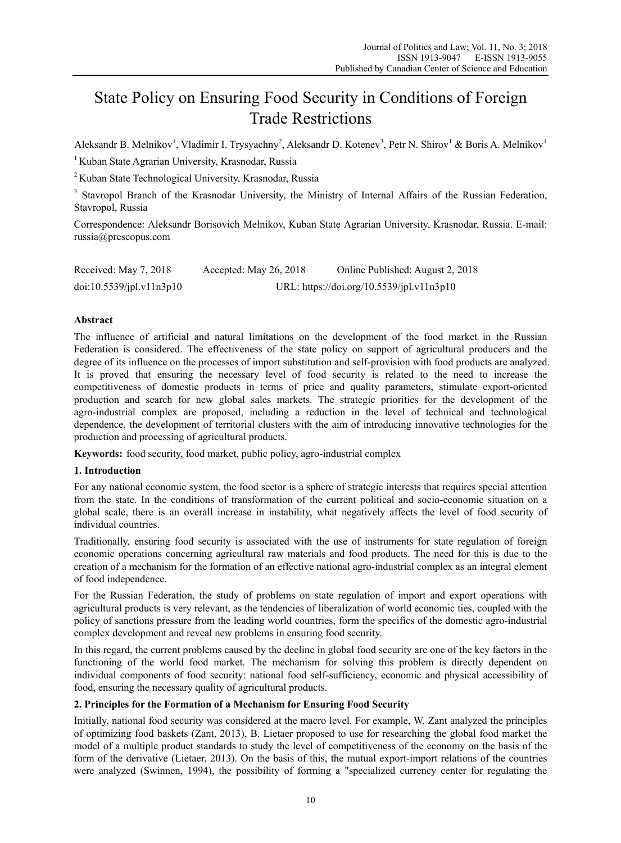# State Policy on Ensuring Food Security in Conditions of Foreign Trade Restrictions

Aleksandr B. Melnikov<sup>1</sup>, Vladimir I. Trysyachny<sup>2</sup>, Aleksandr D. Kotenev<sup>3</sup>, Petr N. Shirov<sup>1</sup> & Boris A. Melnikov<sup>1</sup>

<sup>1</sup> Kuban State Agrarian University, Krasnodar, Russia

2 Kuban State Technological University, Krasnodar, Russia

<sup>3</sup> Stavropol Branch of the Krasnodar University, the Ministry of Internal Affairs of the Russian Federation, Stavropol, Russia

Correspondence: Aleksandr Borisovich Melnikov, Kuban State Agrarian University, Krasnodar, Russia. E-mail: russia@prescopus.com

| Received: May 7, 2018    | Accepted: May 26, 2018 | Online Published: August 2, 2018          |
|--------------------------|------------------------|-------------------------------------------|
| doi:10.5539/ipl.v11n3p10 |                        | URL: https://doi.org/10.5539/jpl.v11n3p10 |

# **Abstract**

The influence of artificial and natural limitations on the development of the food market in the Russian Federation is considered. The effectiveness of the state policy on support of agricultural producers and the degree of its influence on the processes of import substitution and self-provision with food products are analyzed. It is proved that ensuring the necessary level of food security is related to the need to increase the competitiveness of domestic products in terms of price and quality parameters, stimulate export-oriented production and search for new global sales markets. The strategic priorities for the development of the agro-industrial complex are proposed, including a reduction in the level of technical and technological dependence, the development of territorial clusters with the aim of introducing innovative technologies for the production and processing of agricultural products.

**Keywords:** food security, food market, public policy, agro-industrial complex

## **1. Introduction**

For any national economic system, the food sector is a sphere of strategic interests that requires special attention from the state. In the conditions of transformation of the current political and socio-economic situation on a global scale, there is an overall increase in instability, what negatively affects the level of food security of individual countries.

Traditionally, ensuring food security is associated with the use of instruments for state regulation of foreign economic operations concerning agricultural raw materials and food products. The need for this is due to the creation of a mechanism for the formation of an effective national agro-industrial complex as an integral element of food independence.

For the Russian Federation, the study of problems on state regulation of import and export operations with agricultural products is very relevant, as the tendencies of liberalization of world economic ties, coupled with the policy of sanctions pressure from the leading world countries, form the specifics of the domestic agro-industrial complex development and reveal new problems in ensuring food security.

In this regard, the current problems caused by the decline in global food security are one of the key factors in the functioning of the world food market. The mechanism for solving this problem is directly dependent on individual components of food security: national food self-sufficiency, economic and physical accessibility of food, ensuring the necessary quality of agricultural products.

# **2. Principles for the Formation of a Mechanism for Ensuring Food Security**

Initially, national food security was considered at the macro level. For example, W. Zant analyzed the principles of optimizing food baskets (Zant, 2013), B. Lietaer proposed to use for researching the global food market the model of a multiple product standards to study the level of competitiveness of the economy on the basis of the form of the derivative (Lietaer, 2013). On the basis of this, the mutual export-import relations of the countries were analyzed (Swinnen, 1994), the possibility of forming a "specialized currency center for regulating the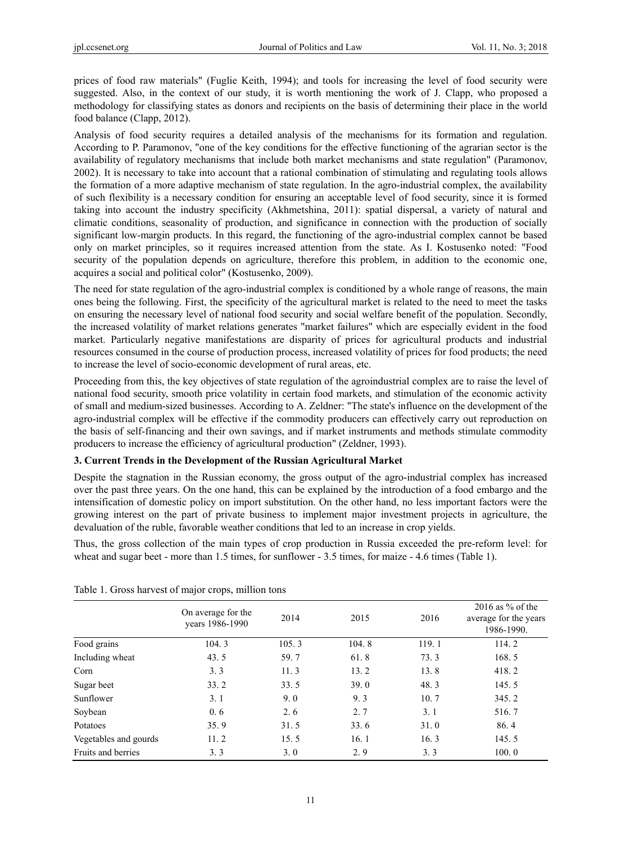prices of food raw materials" (Fuglie Keith, 1994); and tools for increasing the level of food security were suggested. Also, in the context of our study, it is worth mentioning the work of J. Clapp, who proposed a methodology for classifying states as donors and recipients on the basis of determining their place in the world food balance (Clapp, 2012).

Analysis of food security requires a detailed analysis of the mechanisms for its formation and regulation. According to P. Paramonov, "one of the key conditions for the effective functioning of the agrarian sector is the availability of regulatory mechanisms that include both market mechanisms and state regulation" (Paramonov, 2002). It is necessary to take into account that a rational combination of stimulating and regulating tools allows the formation of a more adaptive mechanism of state regulation. In the agro-industrial complex, the availability of such flexibility is a necessary condition for ensuring an acceptable level of food security, since it is formed taking into account the industry specificity (Akhmetshina, 2011): spatial dispersal, a variety of natural and climatic conditions, seasonality of production, and significance in connection with the production of socially significant low-margin products. In this regard, the functioning of the agro-industrial complex cannot be based only on market principles, so it requires increased attention from the state. As I. Kostusenko noted: "Food security of the population depends on agriculture, therefore this problem, in addition to the economic one, acquires a social and political color" (Kostusenko, 2009).

The need for state regulation of the agro-industrial complex is conditioned by a whole range of reasons, the main ones being the following. First, the specificity of the agricultural market is related to the need to meet the tasks on ensuring the necessary level of national food security and social welfare benefit of the population. Secondly, the increased volatility of market relations generates "market failures" which are especially evident in the food market. Particularly negative manifestations are disparity of prices for agricultural products and industrial resources consumed in the course of production process, increased volatility of prices for food products; the need to increase the level of socio-economic development of rural areas, etc.

Proceeding from this, the key objectives of state regulation of the agroindustrial complex are to raise the level of national food security, smooth price volatility in certain food markets, and stimulation of the economic activity of small and medium-sized businesses. According to A. Zeldner: "The state's influence on the development of the agro-industrial complex will be effective if the commodity producers can effectively carry out reproduction on the basis of self-financing and their own savings, and if market instruments and methods stimulate commodity producers to increase the efficiency of agricultural production" (Zeldner, 1993).

#### **3. Current Trends in the Development of the Russian Agricultural Market**

Despite the stagnation in the Russian economy, the gross output of the agro-industrial complex has increased over the past three years. On the one hand, this can be explained by the introduction of a food embargo and the intensification of domestic policy on import substitution. On the other hand, no less important factors were the growing interest on the part of private business to implement major investment projects in agriculture, the devaluation of the ruble, favorable weather conditions that led to an increase in crop yields.

Thus, the gross collection of the main types of crop production in Russia exceeded the pre-reform level: for wheat and sugar beet - more than 1.5 times, for sunflower - 3.5 times, for maize - 4.6 times (Table 1).

| Table 1. Gross har vest of major crops, immon tons |                                       |       |       |       |                                                            |  |  |
|----------------------------------------------------|---------------------------------------|-------|-------|-------|------------------------------------------------------------|--|--|
|                                                    | On average for the<br>vears 1986-1990 | 2014  | 2015  | 2016  | 2016 as $\%$ of the<br>average for the years<br>1986-1990. |  |  |
| Food grains                                        | 104.3                                 | 105.3 | 104.8 | 119.1 | 114.2                                                      |  |  |
| Including wheat                                    | 43.5                                  | 59.7  | 61.8  | 73.3  | 168.5                                                      |  |  |
| Corn                                               | 3.3                                   | 11.3  | 13.2  | 13.8  | 418.2                                                      |  |  |
| Sugar beet                                         | 33.2                                  | 33.5  | 39.0  | 48.3  | 145.5                                                      |  |  |
| Sunflower                                          | 3.1                                   | 9.0   | 9.3   | 10.7  | 345.2                                                      |  |  |
| Soybean                                            | 0.6                                   | 2.6   | 2.7   | 3.1   | 516.7                                                      |  |  |
| Potatoes                                           | 35.9                                  | 31.5  | 33.6  | 31.0  | 86.4                                                       |  |  |
| Vegetables and gourds                              | 11.2                                  | 15.5  | 16.1  | 16.3  | 145.5                                                      |  |  |
| Fruits and berries                                 | 3.3                                   | 3.0   | 2.9   | 3.3   | 100.0                                                      |  |  |

## Table 1. Gross harvest of major crops, million tons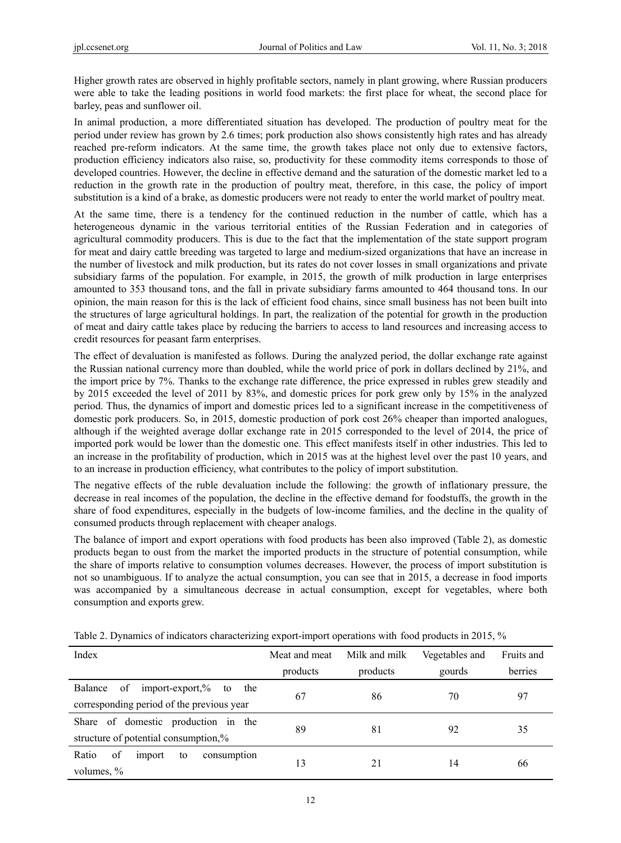Higher growth rates are observed in highly profitable sectors, namely in plant growing, where Russian producers were able to take the leading positions in world food markets: the first place for wheat, the second place for barley, peas and sunflower oil.

In animal production, a more differentiated situation has developed. The production of poultry meat for the period under review has grown by 2.6 times; pork production also shows consistently high rates and has already reached pre-reform indicators. At the same time, the growth takes place not only due to extensive factors, production efficiency indicators also raise, so, productivity for these commodity items corresponds to those of developed countries. However, the decline in effective demand and the saturation of the domestic market led to a reduction in the growth rate in the production of poultry meat, therefore, in this case, the policy of import substitution is a kind of a brake, as domestic producers were not ready to enter the world market of poultry meat.

At the same time, there is a tendency for the continued reduction in the number of cattle, which has a heterogeneous dynamic in the various territorial entities of the Russian Federation and in categories of agricultural commodity producers. This is due to the fact that the implementation of the state support program for meat and dairy cattle breeding was targeted to large and medium-sized organizations that have an increase in the number of livestock and milk production, but its rates do not cover losses in small organizations and private subsidiary farms of the population. For example, in 2015, the growth of milk production in large enterprises amounted to 353 thousand tons, and the fall in private subsidiary farms amounted to 464 thousand tons. In our opinion, the main reason for this is the lack of efficient food chains, since small business has not been built into the structures of large agricultural holdings. In part, the realization of the potential for growth in the production of meat and dairy cattle takes place by reducing the barriers to access to land resources and increasing access to credit resources for peasant farm enterprises.

The effect of devaluation is manifested as follows. During the analyzed period, the dollar exchange rate against the Russian national currency more than doubled, while the world price of pork in dollars declined by 21%, and the import price by 7%. Thanks to the exchange rate difference, the price expressed in rubles grew steadily and by 2015 exceeded the level of 2011 by 83%, and domestic prices for pork grew only by 15% in the analyzed period. Thus, the dynamics of import and domestic prices led to a significant increase in the competitiveness of domestic pork producers. So, in 2015, domestic production of pork cost 26% cheaper than imported analogues, although if the weighted average dollar exchange rate in 2015 corresponded to the level of 2014, the price of imported pork would be lower than the domestic one. This effect manifests itself in other industries. This led to an increase in the profitability of production, which in 2015 was at the highest level over the past 10 years, and to an increase in production efficiency, what contributes to the policy of import substitution.

The negative effects of the ruble devaluation include the following: the growth of inflationary pressure, the decrease in real incomes of the population, the decline in the effective demand for foodstuffs, the growth in the share of food expenditures, especially in the budgets of low-income families, and the decline in the quality of consumed products through replacement with cheaper analogs.

The balance of import and export operations with food products has been also improved (Table 2), as domestic products began to oust from the market the imported products in the structure of potential consumption, while the share of imports relative to consumption volumes decreases. However, the process of import substitution is not so unambiguous. If to analyze the actual consumption, you can see that in 2015, a decrease in food imports was accompanied by a simultaneous decrease in actual consumption, except for vegetables, where both consumption and exports grew.

| Index                                         | Meat and meat | Milk and milk | Vegetables and | Fruits and |
|-----------------------------------------------|---------------|---------------|----------------|------------|
|                                               | products      | products      | gourds         | berries    |
| import-export,%<br>Balance<br>of<br>to<br>the | 67            |               | 70             | 97         |
| corresponding period of the previous year     |               | 86            |                |            |
| Share of domestic production in the           | 89            |               | 92             |            |
| structure of potential consumption,%          |               | 81            |                | 35         |
| Ratio<br>of<br>consumption<br>import<br>to    |               |               |                |            |
| volumes, %                                    | 13            | 21            | 14             | 66         |

Table 2. Dynamics of indicators characterizing export-import operations with food products in 2015, %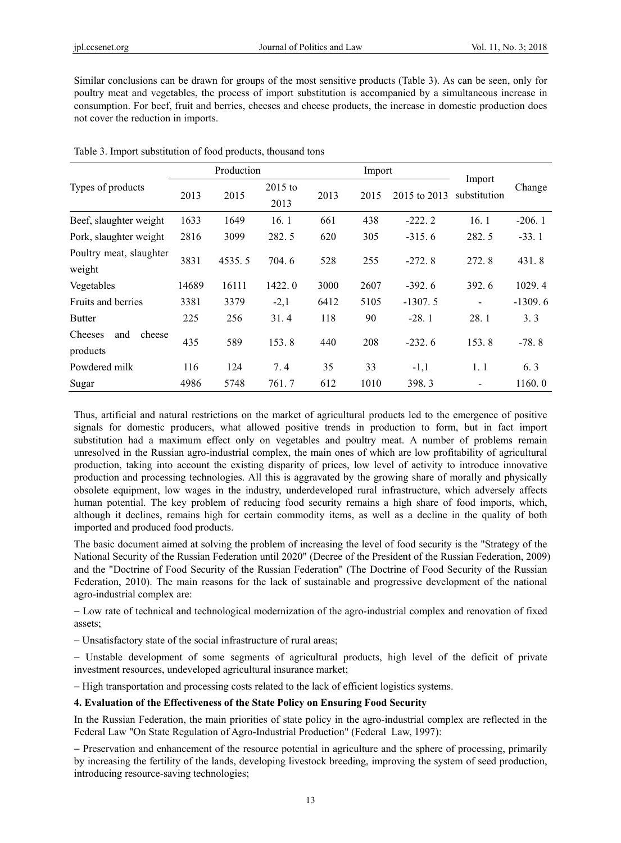Similar conclusions can be drawn for groups of the most sensitive products (Table 3). As can be seen, only for poultry meat and vegetables, the process of import substitution is accompanied by a simultaneous increase in consumption. For beef, fruit and berries, cheeses and cheese products, the increase in domestic production does not cover the reduction in imports.

|                                      | Production |        | Import            |      |      |              |                              |           |
|--------------------------------------|------------|--------|-------------------|------|------|--------------|------------------------------|-----------|
| Types of products                    | 2013       | 2015   | $2015$ to<br>2013 | 2013 | 2015 | 2015 to 2013 | Import<br>substitution       | Change    |
| Beef, slaughter weight               | 1633       | 1649   | 16.1              | 661  | 438  | $-222.2$     | 16.1                         | $-206.1$  |
| Pork, slaughter weight               | 2816       | 3099   | 282.5             | 620  | 305  | $-315.6$     | 282.5                        | $-33.1$   |
| Poultry meat, slaughter<br>weight    | 3831       | 4535.5 | 704.6             | 528  | 255  | $-272.8$     | 272.8                        | 431.8     |
| Vegetables                           | 14689      | 16111  | 1422.0            | 3000 | 2607 | $-392.6$     | 392.6                        | 1029.4    |
| Fruits and berries                   | 3381       | 3379   | $-2,1$            | 6412 | 5105 | $-1307.5$    |                              | $-1309.6$ |
| <b>Butter</b>                        | 225        | 256    | 31.4              | 118  | 90   | $-28.1$      | 28.1                         | 3.3       |
| and<br>cheese<br>Cheeses<br>products | 435        | 589    | 153.8             | 440  | 208  | $-232.6$     | 153.8                        | $-78.8$   |
| Powdered milk                        | 116        | 124    | 7.4               | 35   | 33   | $-1,1$       | 1.1                          | 6.3       |
| Sugar                                | 4986       | 5748   | 761.7             | 612  | 1010 | 398.3        | $\qquad \qquad \blacksquare$ | 1160.0    |

Table 3. Import substitution of food products, thousand tons

Thus, artificial and natural restrictions on the market of agricultural products led to the emergence of positive signals for domestic producers, what allowed positive trends in production to form, but in fact import substitution had a maximum effect only on vegetables and poultry meat. A number of problems remain unresolved in the Russian agro-industrial complex, the main ones of which are low profitability of agricultural production, taking into account the existing disparity of prices, low level of activity to introduce innovative production and processing technologies. All this is aggravated by the growing share of morally and physically obsolete equipment, low wages in the industry, underdeveloped rural infrastructure, which adversely affects human potential. The key problem of reducing food security remains a high share of food imports, which, although it declines, remains high for certain commodity items, as well as a decline in the quality of both imported and produced food products.

The basic document aimed at solving the problem of increasing the level of food security is the "Strategy of the National Security of the Russian Federation until 2020" (Decree of the President of the Russian Federation, 2009) and the "Doctrine of Food Security of the Russian Federation" (The Doctrine of Food Security of the Russian Federation, 2010). The main reasons for the lack of sustainable and progressive development of the national agro-industrial complex are:

− Low rate of technical and technological modernization of the agro-industrial complex and renovation of fixed assets;

− Unsatisfactory state of the social infrastructure of rural areas;

− Unstable development of some segments of agricultural products, high level of the deficit of private investment resources, undeveloped agricultural insurance market;

− High transportation and processing costs related to the lack of efficient logistics systems.

### **4. Evaluation of the Effectiveness of the State Policy on Ensuring Food Security**

In the Russian Federation, the main priorities of state policy in the agro-industrial complex are reflected in the Federal Law "On State Regulation of Agro-Industrial Production" (Federal Law, 1997):

− Preservation and enhancement of the resource potential in agriculture and the sphere of processing, primarily by increasing the fertility of the lands, developing livestock breeding, improving the system of seed production, introducing resource-saving technologies;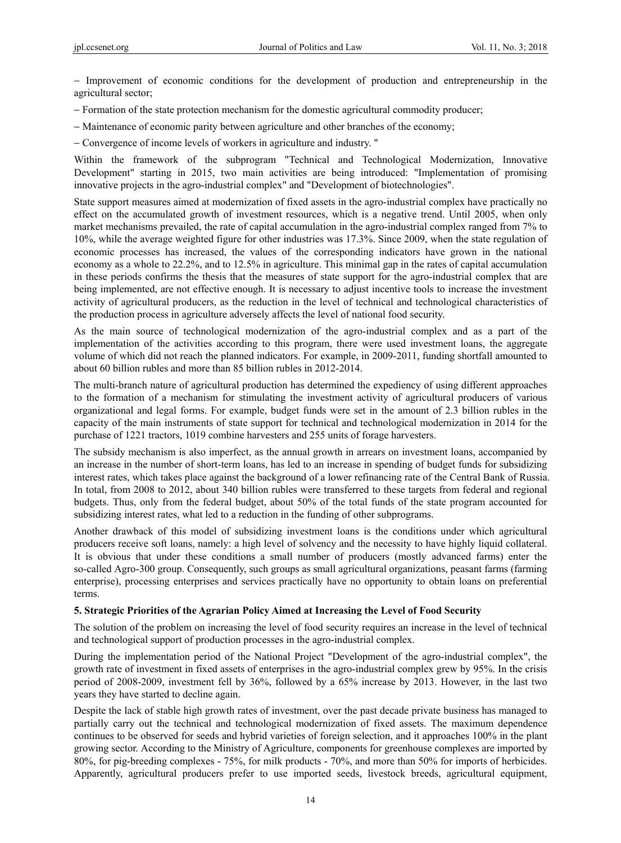− Improvement of economic conditions for the development of production and entrepreneurship in the agricultural sector;

− Formation of the state protection mechanism for the domestic agricultural commodity producer;

− Maintenance of economic parity between agriculture and other branches of the economy;

− Convergence of income levels of workers in agriculture and industry. "

Within the framework of the subprogram "Technical and Technological Modernization, Innovative Development" starting in 2015, two main activities are being introduced: "Implementation of promising innovative projects in the agro-industrial complex" and "Development of biotechnologies".

State support measures aimed at modernization of fixed assets in the agro-industrial complex have practically no effect on the accumulated growth of investment resources, which is a negative trend. Until 2005, when only market mechanisms prevailed, the rate of capital accumulation in the agro-industrial complex ranged from 7% to 10%, while the average weighted figure for other industries was 17.3%. Since 2009, when the state regulation of economic processes has increased, the values of the corresponding indicators have grown in the national economy as a whole to 22.2%, and to 12.5% in agriculture. This minimal gap in the rates of capital accumulation in these periods confirms the thesis that the measures of state support for the agro-industrial complex that are being implemented, are not effective enough. It is necessary to adjust incentive tools to increase the investment activity of agricultural producers, as the reduction in the level of technical and technological characteristics of the production process in agriculture adversely affects the level of national food security.

As the main source of technological modernization of the agro-industrial complex and as a part of the implementation of the activities according to this program, there were used investment loans, the aggregate volume of which did not reach the planned indicators. For example, in 2009-2011, funding shortfall amounted to about 60 billion rubles and more than 85 billion rubles in 2012-2014.

The multi-branch nature of agricultural production has determined the expediency of using different approaches to the formation of a mechanism for stimulating the investment activity of agricultural producers of various organizational and legal forms. For example, budget funds were set in the amount of 2.3 billion rubles in the capacity of the main instruments of state support for technical and technological modernization in 2014 for the purchase of 1221 tractors, 1019 combine harvesters and 255 units of forage harvesters.

The subsidy mechanism is also imperfect, as the annual growth in arrears on investment loans, accompanied by an increase in the number of short-term loans, has led to an increase in spending of budget funds for subsidizing interest rates, which takes place against the background of a lower refinancing rate of the Central Bank of Russia. In total, from 2008 to 2012, about 340 billion rubles were transferred to these targets from federal and regional budgets. Thus, only from the federal budget, about 50% of the total funds of the state program accounted for subsidizing interest rates, what led to a reduction in the funding of other subprograms.

Another drawback of this model of subsidizing investment loans is the conditions under which agricultural producers receive soft loans, namely: a high level of solvency and the necessity to have highly liquid collateral. It is obvious that under these conditions a small number of producers (mostly advanced farms) enter the so-called Agro-300 group. Consequently, such groups as small agricultural organizations, peasant farms (farming enterprise), processing enterprises and services practically have no opportunity to obtain loans on preferential terms.

#### **5. Strategic Priorities of the Agrarian Policy Aimed at Increasing the Level of Food Security**

The solution of the problem on increasing the level of food security requires an increase in the level of technical and technological support of production processes in the agro-industrial complex.

During the implementation period of the National Project "Development of the agro-industrial complex", the growth rate of investment in fixed assets of enterprises in the agro-industrial complex grew by 95%. In the crisis period of 2008-2009, investment fell by 36%, followed by a 65% increase by 2013. However, in the last two years they have started to decline again.

Despite the lack of stable high growth rates of investment, over the past decade private business has managed to partially carry out the technical and technological modernization of fixed assets. The maximum dependence continues to be observed for seeds and hybrid varieties of foreign selection, and it approaches 100% in the plant growing sector. According to the Ministry of Agriculture, components for greenhouse complexes are imported by 80%, for pig-breeding complexes - 75%, for milk products - 70%, and more than 50% for imports of herbicides. Apparently, agricultural producers prefer to use imported seeds, livestock breeds, agricultural equipment,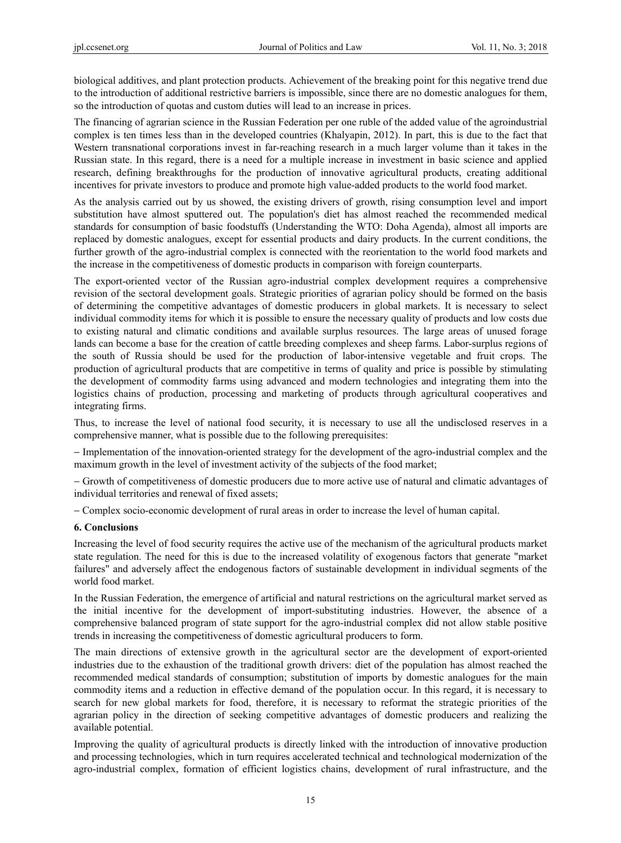biological additives, and plant protection products. Achievement of the breaking point for this negative trend due to the introduction of additional restrictive barriers is impossible, since there are no domestic analogues for them, so the introduction of quotas and custom duties will lead to an increase in prices.

The financing of agrarian science in the Russian Federation per one ruble of the added value of the agroindustrial complex is ten times less than in the developed countries (Khalyapin, 2012). In part, this is due to the fact that Western transnational corporations invest in far-reaching research in a much larger volume than it takes in the Russian state. In this regard, there is a need for a multiple increase in investment in basic science and applied research, defining breakthroughs for the production of innovative agricultural products, creating additional incentives for private investors to produce and promote high value-added products to the world food market.

As the analysis carried out by us showed, the existing drivers of growth, rising consumption level and import substitution have almost sputtered out. The population's diet has almost reached the recommended medical standards for consumption of basic foodstuffs (Understanding the WTO: Doha Agenda), almost all imports are replaced by domestic analogues, except for essential products and dairy products. In the current conditions, the further growth of the agro-industrial complex is connected with the reorientation to the world food markets and the increase in the competitiveness of domestic products in comparison with foreign counterparts.

The export-oriented vector of the Russian agro-industrial complex development requires a comprehensive revision of the sectoral development goals. Strategic priorities of agrarian policy should be formed on the basis of determining the competitive advantages of domestic producers in global markets. It is necessary to select individual commodity items for which it is possible to ensure the necessary quality of products and low costs due to existing natural and climatic conditions and available surplus resources. The large areas of unused forage lands can become a base for the creation of cattle breeding complexes and sheep farms. Labor-surplus regions of the south of Russia should be used for the production of labor-intensive vegetable and fruit crops. The production of agricultural products that are competitive in terms of quality and price is possible by stimulating the development of commodity farms using advanced and modern technologies and integrating them into the logistics chains of production, processing and marketing of products through agricultural cooperatives and integrating firms.

Thus, to increase the level of national food security, it is necessary to use all the undisclosed reserves in a comprehensive manner, what is possible due to the following prerequisites:

− Implementation of the innovation-oriented strategy for the development of the agro-industrial complex and the maximum growth in the level of investment activity of the subjects of the food market;

− Growth of competitiveness of domestic producers due to more active use of natural and climatic advantages of individual territories and renewal of fixed assets;

− Complex socio-economic development of rural areas in order to increase the level of human capital.

#### **6. Conclusions**

Increasing the level of food security requires the active use of the mechanism of the agricultural products market state regulation. The need for this is due to the increased volatility of exogenous factors that generate "market failures" and adversely affect the endogenous factors of sustainable development in individual segments of the world food market.

In the Russian Federation, the emergence of artificial and natural restrictions on the agricultural market served as the initial incentive for the development of import-substituting industries. However, the absence of a comprehensive balanced program of state support for the agro-industrial complex did not allow stable positive trends in increasing the competitiveness of domestic agricultural producers to form.

The main directions of extensive growth in the agricultural sector are the development of export-oriented industries due to the exhaustion of the traditional growth drivers: diet of the population has almost reached the recommended medical standards of consumption; substitution of imports by domestic analogues for the main commodity items and a reduction in effective demand of the population occur. In this regard, it is necessary to search for new global markets for food, therefore, it is necessary to reformat the strategic priorities of the agrarian policy in the direction of seeking competitive advantages of domestic producers and realizing the available potential.

Improving the quality of agricultural products is directly linked with the introduction of innovative production and processing technologies, which in turn requires accelerated technical and technological modernization of the agro-industrial complex, formation of efficient logistics chains, development of rural infrastructure, and the